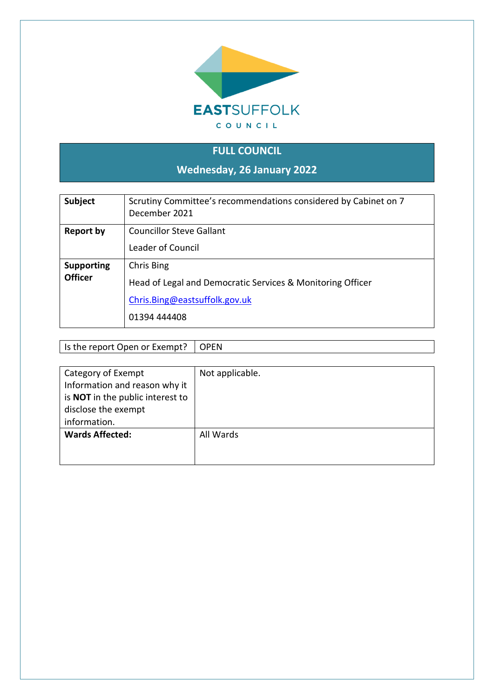

# **FULL COUNCIL**

**Wednesday, 26 January 2022**

| <b>Subject</b>                      | Scrutiny Committee's recommendations considered by Cabinet on 7<br>December 2021                                          |
|-------------------------------------|---------------------------------------------------------------------------------------------------------------------------|
| Report by                           | Councillor Steve Gallant<br>Leader of Council                                                                             |
| <b>Supporting</b><br><b>Officer</b> | Chris Bing<br>Head of Legal and Democratic Services & Monitoring Officer<br>Chris.Bing@eastsuffolk.gov.uk<br>01394 444408 |

Is the report Open or Exempt?  $\Box$  OPEN

| Category of Exempt<br>Information and reason why it<br>is NOT in the public interest to<br>disclose the exempt | Not applicable. |
|----------------------------------------------------------------------------------------------------------------|-----------------|
| information.                                                                                                   |                 |
| <b>Wards Affected:</b>                                                                                         | All Wards       |
|                                                                                                                |                 |
|                                                                                                                |                 |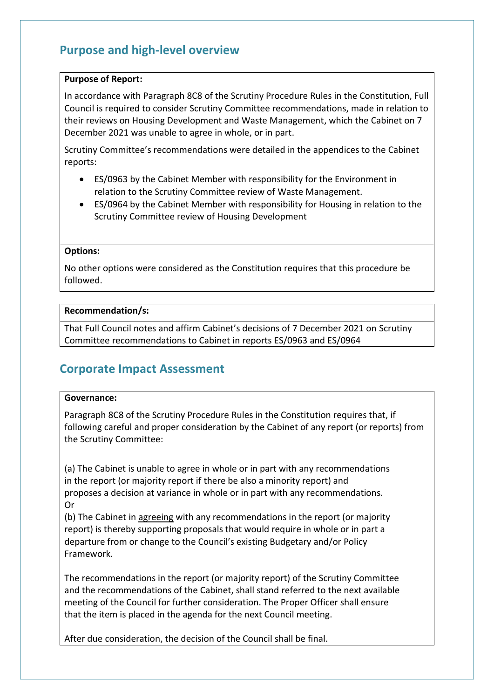## **Purpose and high-level overview**

#### **Purpose of Report:**

In accordance with Paragraph 8C8 of the Scrutiny Procedure Rules in the Constitution, Full Council is required to consider Scrutiny Committee recommendations, made in relation to their reviews on Housing Development and Waste Management, which the Cabinet on 7 December 2021 was unable to agree in whole, or in part.

Scrutiny Committee's recommendations were detailed in the appendices to the Cabinet reports:

- ES/0963 by the Cabinet Member with responsibility for the Environment in relation to the Scrutiny Committee review of Waste Management.
- ES/0964 by the Cabinet Member with responsibility for Housing in relation to the Scrutiny Committee review of Housing Development

#### **Options:**

No other options were considered as the Constitution requires that this procedure be followed.

#### **Recommendation/s:**

That Full Council notes and affirm Cabinet's decisions of 7 December 2021 on Scrutiny Committee recommendations to Cabinet in reports ES/0963 and ES/0964

## **Corporate Impact Assessment**

#### **Governance:**

Paragraph 8C8 of the Scrutiny Procedure Rules in the Constitution requires that, if following careful and proper consideration by the Cabinet of any report (or reports) from the Scrutiny Committee:

(a) The Cabinet is unable to agree in whole or in part with any recommendations in the report (or majority report if there be also a minority report) and proposes a decision at variance in whole or in part with any recommendations. Or

(b) The Cabinet in agreeing with any recommendations in the report (or majority report) is thereby supporting proposals that would require in whole or in part a departure from or change to the Council's existing Budgetary and/or Policy Framework.

The recommendations in the report (or majority report) of the Scrutiny Committee and the recommendations of the Cabinet, shall stand referred to the next available meeting of the Council for further consideration. The Proper Officer shall ensure that the item is placed in the agenda for the next Council meeting.

After due consideration, the decision of the Council shall be final.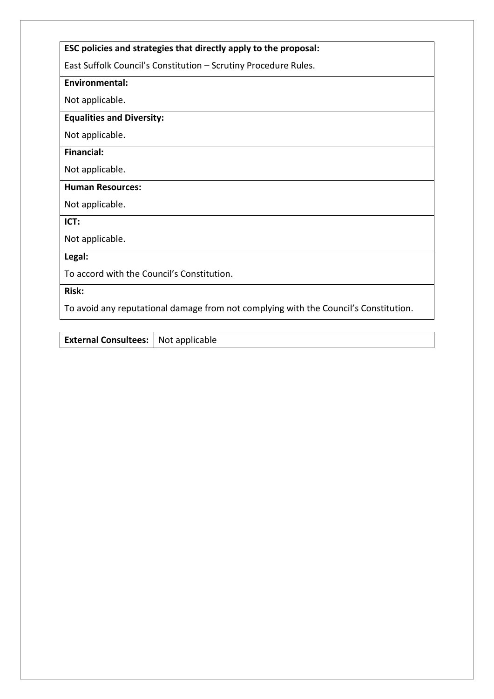## **ESC policies and strategies that directly apply to the proposal:**

East Suffolk Council's Constitution – Scrutiny Procedure Rules.

#### **Environmental:**

Not applicable.

## **Equalities and Diversity:**

Not applicable.

## **Financial:**

Not applicable.

#### **Human Resources:**

Not applicable.

**ICT:**

Not applicable.

**Legal:**

To accord with the Council's Constitution.

**Risk:**

To avoid any reputational damage from not complying with the Council's Constitution.

**External Consultees:** Not applicable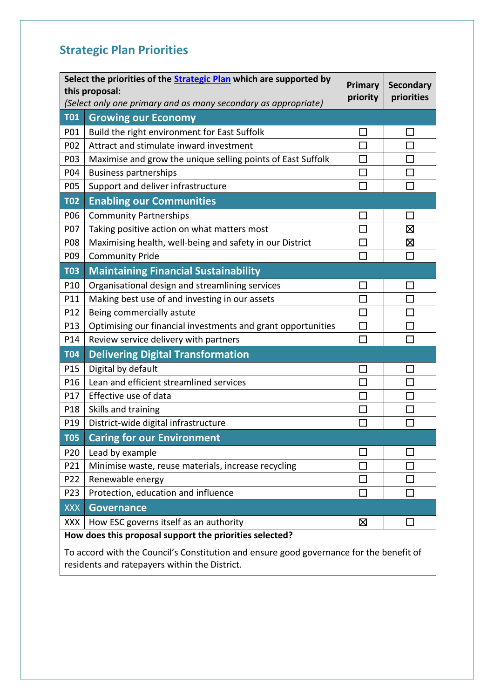# **Strategic Plan Priorities**

| Select the priorities of the <b>Strategic Plan</b> which are supported by<br><b>Primary</b><br>this proposal:<br>priority<br>(Select only one primary and as many secondary as appropriate) |                                                              |        | <b>Secondary</b><br>priorities |
|---------------------------------------------------------------------------------------------------------------------------------------------------------------------------------------------|--------------------------------------------------------------|--------|--------------------------------|
| <b>T01</b>                                                                                                                                                                                  | <b>Growing our Economy</b>                                   |        |                                |
| P01                                                                                                                                                                                         | Build the right environment for East Suffolk                 | $\sim$ |                                |
| P02                                                                                                                                                                                         | Attract and stimulate inward investment                      |        |                                |
| P03                                                                                                                                                                                         | Maximise and grow the unique selling points of East Suffolk  | $\Box$ | П                              |
| P04                                                                                                                                                                                         | <b>Business partnerships</b>                                 | $\Box$ |                                |
| P05                                                                                                                                                                                         | Support and deliver infrastructure                           | П      | П                              |
| <b>T02</b>                                                                                                                                                                                  | <b>Enabling our Communities</b>                              |        |                                |
| P06                                                                                                                                                                                         | <b>Community Partnerships</b>                                |        |                                |
| P07                                                                                                                                                                                         | Taking positive action on what matters most                  | П      | 区                              |
| P08                                                                                                                                                                                         | Maximising health, well-being and safety in our District     | $\Box$ | Ø                              |
| P09                                                                                                                                                                                         | <b>Community Pride</b>                                       | $\Box$ | J.                             |
| <b>T03</b>                                                                                                                                                                                  | <b>Maintaining Financial Sustainability</b>                  |        |                                |
| P10                                                                                                                                                                                         | Organisational design and streamlining services              | $\Box$ | ×.                             |
| P11                                                                                                                                                                                         | Making best use of and investing in our assets               | П      |                                |
| P12                                                                                                                                                                                         | Being commercially astute                                    | $\Box$ |                                |
| P13                                                                                                                                                                                         | Optimising our financial investments and grant opportunities | $\Box$ | $\Box$                         |
| P14                                                                                                                                                                                         | Review service delivery with partners                        | П      |                                |
| <b>T04</b>                                                                                                                                                                                  | <b>Delivering Digital Transformation</b>                     |        |                                |
| P15                                                                                                                                                                                         | Digital by default                                           | $\Box$ |                                |
| P16                                                                                                                                                                                         | Lean and efficient streamlined services                      | $\Box$ |                                |
| P17                                                                                                                                                                                         | Effective use of data                                        | П      |                                |
| P18                                                                                                                                                                                         | Skills and training                                          | $\Box$ |                                |
| P19                                                                                                                                                                                         | District-wide digital infrastructure                         | П      |                                |
| <b>T05</b>                                                                                                                                                                                  | <b>Caring for our Environment</b>                            |        |                                |
| P20                                                                                                                                                                                         | Lead by example                                              | П      |                                |
| P21                                                                                                                                                                                         | Minimise waste, reuse materials, increase recycling          |        |                                |
| P22                                                                                                                                                                                         | Renewable energy                                             |        |                                |
| P23                                                                                                                                                                                         | Protection, education and influence                          | $\Box$ |                                |
| <b>XXX</b>                                                                                                                                                                                  | <b>Governance</b>                                            |        |                                |
| XXX                                                                                                                                                                                         | How ESC governs itself as an authority                       | Σ      | n.                             |
|                                                                                                                                                                                             | How does this proposal support the priorities selected?      |        |                                |

To accord with the Council's Constitution and ensure good governance for the benefit of residents and ratepayers within the District.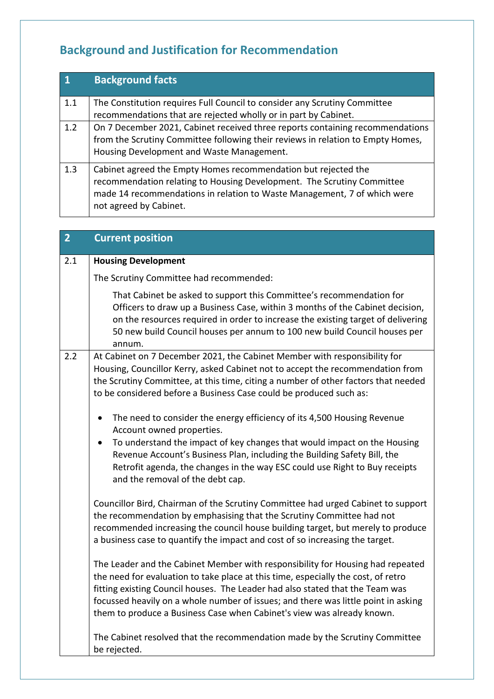# **Background and Justification for Recommendation**

| $\overline{1}$ | <b>Background facts</b>                                                                                                                                                                                                                        |
|----------------|------------------------------------------------------------------------------------------------------------------------------------------------------------------------------------------------------------------------------------------------|
| 1.1            | The Constitution requires Full Council to consider any Scrutiny Committee<br>recommendations that are rejected wholly or in part by Cabinet.                                                                                                   |
| 1.2            | On 7 December 2021, Cabinet received three reports containing recommendations<br>from the Scrutiny Committee following their reviews in relation to Empty Homes,<br>Housing Development and Waste Management.                                  |
| 1.3            | Cabinet agreed the Empty Homes recommendation but rejected the<br>recommendation relating to Housing Development. The Scrutiny Committee<br>made 14 recommendations in relation to Waste Management, 7 of which were<br>not agreed by Cabinet. |

| $\overline{2}$ | <b>Current position</b>                                                                                                                                                                                                                                                                                                                                                                                              |
|----------------|----------------------------------------------------------------------------------------------------------------------------------------------------------------------------------------------------------------------------------------------------------------------------------------------------------------------------------------------------------------------------------------------------------------------|
| 2.1            | <b>Housing Development</b>                                                                                                                                                                                                                                                                                                                                                                                           |
|                | The Scrutiny Committee had recommended:                                                                                                                                                                                                                                                                                                                                                                              |
|                | That Cabinet be asked to support this Committee's recommendation for<br>Officers to draw up a Business Case, within 3 months of the Cabinet decision,<br>on the resources required in order to increase the existing target of delivering<br>50 new build Council houses per annum to 100 new build Council houses per<br>annum.                                                                                     |
| 2.2            | At Cabinet on 7 December 2021, the Cabinet Member with responsibility for<br>Housing, Councillor Kerry, asked Cabinet not to accept the recommendation from<br>the Scrutiny Committee, at this time, citing a number of other factors that needed<br>to be considered before a Business Case could be produced such as:                                                                                              |
|                | The need to consider the energy efficiency of its 4,500 Housing Revenue<br>٠<br>Account owned properties.<br>To understand the impact of key changes that would impact on the Housing<br>$\bullet$<br>Revenue Account's Business Plan, including the Building Safety Bill, the<br>Retrofit agenda, the changes in the way ESC could use Right to Buy receipts<br>and the removal of the debt cap.                    |
|                | Councillor Bird, Chairman of the Scrutiny Committee had urged Cabinet to support<br>the recommendation by emphasising that the Scrutiny Committee had not<br>recommended increasing the council house building target, but merely to produce<br>a business case to quantify the impact and cost of so increasing the target.                                                                                         |
|                | The Leader and the Cabinet Member with responsibility for Housing had repeated<br>the need for evaluation to take place at this time, especially the cost, of retro<br>fitting existing Council houses. The Leader had also stated that the Team was<br>focussed heavily on a whole number of issues; and there was little point in asking<br>them to produce a Business Case when Cabinet's view was already known. |
|                | The Cabinet resolved that the recommendation made by the Scrutiny Committee<br>be rejected.                                                                                                                                                                                                                                                                                                                          |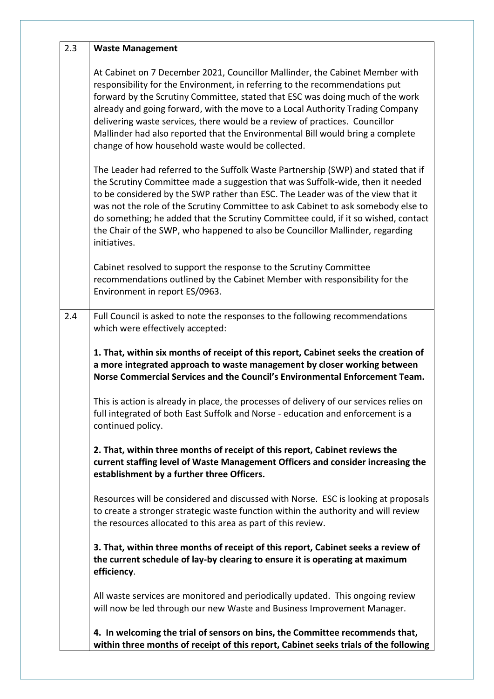| 2.3 | <b>Waste Management</b>                                                                                                                                                                                                                                                                                                                                                                                                                                                                                                                             |
|-----|-----------------------------------------------------------------------------------------------------------------------------------------------------------------------------------------------------------------------------------------------------------------------------------------------------------------------------------------------------------------------------------------------------------------------------------------------------------------------------------------------------------------------------------------------------|
|     | At Cabinet on 7 December 2021, Councillor Mallinder, the Cabinet Member with<br>responsibility for the Environment, in referring to the recommendations put<br>forward by the Scrutiny Committee, stated that ESC was doing much of the work<br>already and going forward, with the move to a Local Authority Trading Company<br>delivering waste services, there would be a review of practices. Councillor<br>Mallinder had also reported that the Environmental Bill would bring a complete<br>change of how household waste would be collected. |
|     | The Leader had referred to the Suffolk Waste Partnership (SWP) and stated that if<br>the Scrutiny Committee made a suggestion that was Suffolk-wide, then it needed<br>to be considered by the SWP rather than ESC. The Leader was of the view that it<br>was not the role of the Scrutiny Committee to ask Cabinet to ask somebody else to<br>do something; he added that the Scrutiny Committee could, if it so wished, contact<br>the Chair of the SWP, who happened to also be Councillor Mallinder, regarding<br>initiatives.                  |
|     | Cabinet resolved to support the response to the Scrutiny Committee<br>recommendations outlined by the Cabinet Member with responsibility for the<br>Environment in report ES/0963.                                                                                                                                                                                                                                                                                                                                                                  |
| 2.4 | Full Council is asked to note the responses to the following recommendations<br>which were effectively accepted:                                                                                                                                                                                                                                                                                                                                                                                                                                    |
|     | 1. That, within six months of receipt of this report, Cabinet seeks the creation of<br>a more integrated approach to waste management by closer working between<br>Norse Commercial Services and the Council's Environmental Enforcement Team.                                                                                                                                                                                                                                                                                                      |
|     | This is action is already in place, the processes of delivery of our services relies on<br>full integrated of both East Suffolk and Norse - education and enforcement is a<br>continued policy.                                                                                                                                                                                                                                                                                                                                                     |
|     | 2. That, within three months of receipt of this report, Cabinet reviews the<br>current staffing level of Waste Management Officers and consider increasing the<br>establishment by a further three Officers.                                                                                                                                                                                                                                                                                                                                        |
|     | Resources will be considered and discussed with Norse. ESC is looking at proposals<br>to create a stronger strategic waste function within the authority and will review<br>the resources allocated to this area as part of this review.                                                                                                                                                                                                                                                                                                            |
|     | 3. That, within three months of receipt of this report, Cabinet seeks a review of<br>the current schedule of lay-by clearing to ensure it is operating at maximum<br>efficiency.                                                                                                                                                                                                                                                                                                                                                                    |
|     | All waste services are monitored and periodically updated. This ongoing review<br>will now be led through our new Waste and Business Improvement Manager.                                                                                                                                                                                                                                                                                                                                                                                           |
|     | 4. In welcoming the trial of sensors on bins, the Committee recommends that,<br>within three months of receipt of this report, Cabinet seeks trials of the following                                                                                                                                                                                                                                                                                                                                                                                |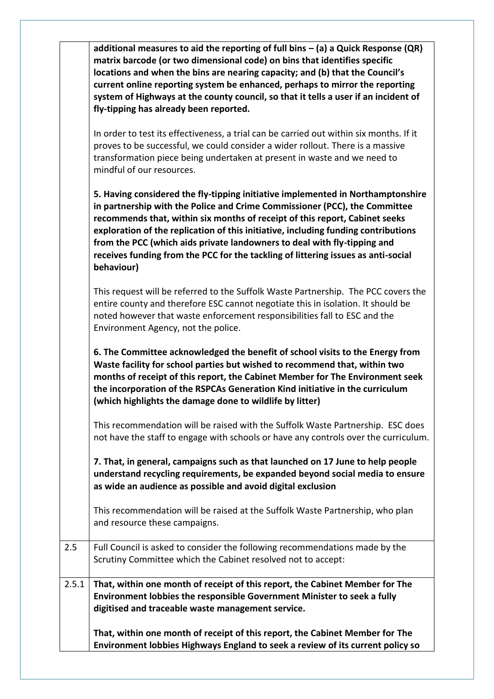|       | additional measures to aid the reporting of full bins $-$ (a) a Quick Response (QR)<br>matrix barcode (or two dimensional code) on bins that identifies specific<br>locations and when the bins are nearing capacity; and (b) that the Council's<br>current online reporting system be enhanced, perhaps to mirror the reporting<br>system of Highways at the county council, so that it tells a user if an incident of<br>fly-tipping has already been reported.                                                 |
|-------|-------------------------------------------------------------------------------------------------------------------------------------------------------------------------------------------------------------------------------------------------------------------------------------------------------------------------------------------------------------------------------------------------------------------------------------------------------------------------------------------------------------------|
|       | In order to test its effectiveness, a trial can be carried out within six months. If it<br>proves to be successful, we could consider a wider rollout. There is a massive<br>transformation piece being undertaken at present in waste and we need to<br>mindful of our resources.                                                                                                                                                                                                                                |
|       | 5. Having considered the fly-tipping initiative implemented in Northamptonshire<br>in partnership with the Police and Crime Commissioner (PCC), the Committee<br>recommends that, within six months of receipt of this report, Cabinet seeks<br>exploration of the replication of this initiative, including funding contributions<br>from the PCC (which aids private landowners to deal with fly-tipping and<br>receives funding from the PCC for the tackling of littering issues as anti-social<br>behaviour) |
|       | This request will be referred to the Suffolk Waste Partnership. The PCC covers the<br>entire county and therefore ESC cannot negotiate this in isolation. It should be<br>noted however that waste enforcement responsibilities fall to ESC and the<br>Environment Agency, not the police.                                                                                                                                                                                                                        |
|       | 6. The Committee acknowledged the benefit of school visits to the Energy from<br>Waste facility for school parties but wished to recommend that, within two<br>months of receipt of this report, the Cabinet Member for The Environment seek<br>the incorporation of the RSPCAs Generation Kind initiative in the curriculum<br>(which highlights the damage done to wildlife by litter)                                                                                                                          |
|       | This recommendation will be raised with the Suffolk Waste Partnership. ESC does<br>not have the staff to engage with schools or have any controls over the curriculum.                                                                                                                                                                                                                                                                                                                                            |
|       | 7. That, in general, campaigns such as that launched on 17 June to help people<br>understand recycling requirements, be expanded beyond social media to ensure<br>as wide an audience as possible and avoid digital exclusion                                                                                                                                                                                                                                                                                     |
|       | This recommendation will be raised at the Suffolk Waste Partnership, who plan<br>and resource these campaigns.                                                                                                                                                                                                                                                                                                                                                                                                    |
| 2.5   | Full Council is asked to consider the following recommendations made by the<br>Scrutiny Committee which the Cabinet resolved not to accept:                                                                                                                                                                                                                                                                                                                                                                       |
| 2.5.1 | That, within one month of receipt of this report, the Cabinet Member for The<br>Environment lobbies the responsible Government Minister to seek a fully<br>digitised and traceable waste management service.                                                                                                                                                                                                                                                                                                      |
|       | That, within one month of receipt of this report, the Cabinet Member for The<br>Environment lobbies Highways England to seek a review of its current policy so                                                                                                                                                                                                                                                                                                                                                    |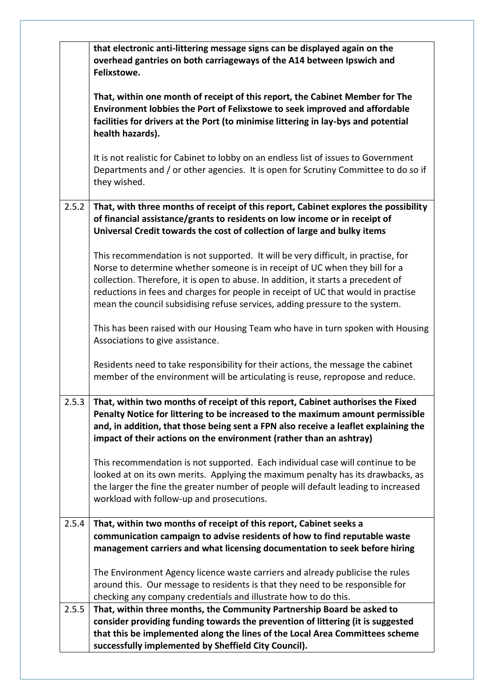|       | that electronic anti-littering message signs can be displayed again on the<br>overhead gantries on both carriageways of the A14 between Ipswich and<br>Felixstowe.                                                                                                                                                                                                                                                         |
|-------|----------------------------------------------------------------------------------------------------------------------------------------------------------------------------------------------------------------------------------------------------------------------------------------------------------------------------------------------------------------------------------------------------------------------------|
|       | That, within one month of receipt of this report, the Cabinet Member for The<br>Environment lobbies the Port of Felixstowe to seek improved and affordable<br>facilities for drivers at the Port (to minimise littering in lay-bys and potential<br>health hazards).                                                                                                                                                       |
|       | It is not realistic for Cabinet to lobby on an endless list of issues to Government<br>Departments and / or other agencies. It is open for Scrutiny Committee to do so if<br>they wished.                                                                                                                                                                                                                                  |
| 2.5.2 | That, with three months of receipt of this report, Cabinet explores the possibility<br>of financial assistance/grants to residents on low income or in receipt of<br>Universal Credit towards the cost of collection of large and bulky items                                                                                                                                                                              |
|       | This recommendation is not supported. It will be very difficult, in practise, for<br>Norse to determine whether someone is in receipt of UC when they bill for a<br>collection. Therefore, it is open to abuse. In addition, it starts a precedent of<br>reductions in fees and charges for people in receipt of UC that would in practise<br>mean the council subsidising refuse services, adding pressure to the system. |
|       | This has been raised with our Housing Team who have in turn spoken with Housing<br>Associations to give assistance.                                                                                                                                                                                                                                                                                                        |
|       | Residents need to take responsibility for their actions, the message the cabinet<br>member of the environment will be articulating is reuse, repropose and reduce.                                                                                                                                                                                                                                                         |
| 2.5.3 | That, within two months of receipt of this report, Cabinet authorises the Fixed<br>Penalty Notice for littering to be increased to the maximum amount permissible<br>and, in addition, that those being sent a FPN also receive a leaflet explaining the<br>impact of their actions on the environment (rather than an ashtray)                                                                                            |
|       | This recommendation is not supported. Each individual case will continue to be<br>looked at on its own merits. Applying the maximum penalty has its drawbacks, as<br>the larger the fine the greater number of people will default leading to increased<br>workload with follow-up and prosecutions.                                                                                                                       |
| 2.5.4 | That, within two months of receipt of this report, Cabinet seeks a<br>communication campaign to advise residents of how to find reputable waste<br>management carriers and what licensing documentation to seek before hiring                                                                                                                                                                                              |
|       | The Environment Agency licence waste carriers and already publicise the rules<br>around this. Our message to residents is that they need to be responsible for<br>checking any company credentials and illustrate how to do this.                                                                                                                                                                                          |
| 2.5.5 | That, within three months, the Community Partnership Board be asked to<br>consider providing funding towards the prevention of littering (it is suggested<br>that this be implemented along the lines of the Local Area Committees scheme<br>successfully implemented by Sheffield City Council).                                                                                                                          |